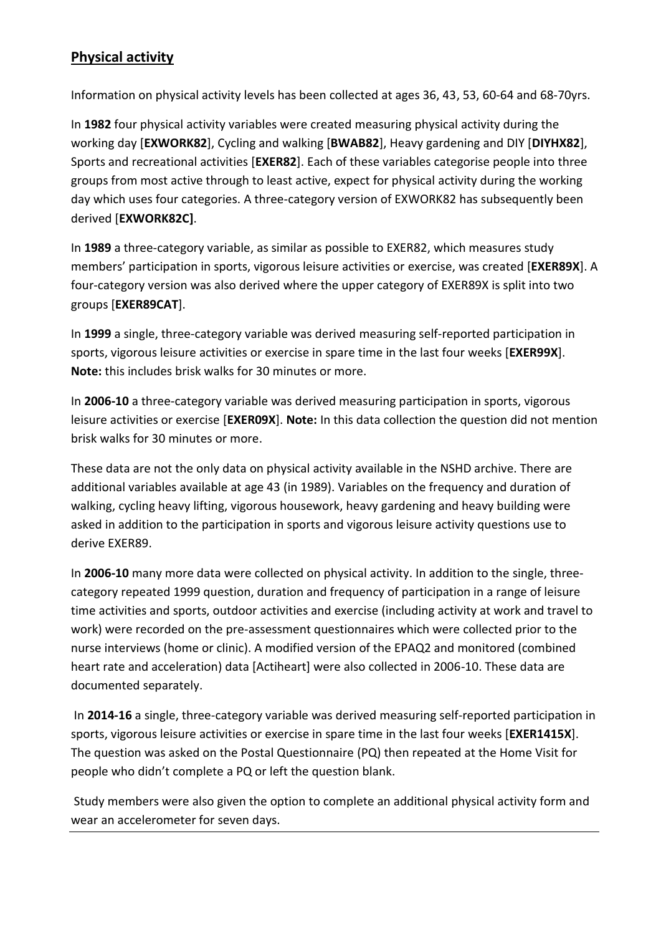# **Physical activity**

Information on physical activity levels has been collected at ages 36, 43, 53, 60-64 and 68-70yrs.

In **1982** four physical activity variables were created measuring physical activity during the working day [**EXWORK82**], Cycling and walking [**BWAB82**], Heavy gardening and DIY [**DIYHX82**], Sports and recreational activities [**EXER82**]. Each of these variables categorise people into three groups from most active through to least active, expect for physical activity during the working day which uses four categories. A three-category version of EXWORK82 has subsequently been derived [**EXWORK82C]**.

In **1989** a three-category variable, as similar as possible to EXER82, which measures study members' participation in sports, vigorous leisure activities or exercise, was created [**EXER89X**]. A four-category version was also derived where the upper category of EXER89X is split into two groups [**EXER89CAT**].

In **1999** a single, three-category variable was derived measuring self-reported participation in sports, vigorous leisure activities or exercise in spare time in the last four weeks [**EXER99X**]. **Note:** this includes brisk walks for 30 minutes or more.

In **2006-10** a three-category variable was derived measuring participation in sports, vigorous leisure activities or exercise [**EXER09X**]. **Note:** In this data collection the question did not mention brisk walks for 30 minutes or more.

These data are not the only data on physical activity available in the NSHD archive. There are additional variables available at age 43 (in 1989). Variables on the frequency and duration of walking, cycling heavy lifting, vigorous housework, heavy gardening and heavy building were asked in addition to the participation in sports and vigorous leisure activity questions use to derive EXER89.

In **2006-10** many more data were collected on physical activity. In addition to the single, threecategory repeated 1999 question, duration and frequency of participation in a range of leisure time activities and sports, outdoor activities and exercise (including activity at work and travel to work) were recorded on the pre-assessment questionnaires which were collected prior to the nurse interviews (home or clinic). A modified version of the EPAQ2 and monitored (combined heart rate and acceleration) data [Actiheart] were also collected in 2006-10. These data are documented separately.

In **2014-16** a single, three-category variable was derived measuring self-reported participation in sports, vigorous leisure activities or exercise in spare time in the last four weeks [**EXER1415X**]. The question was asked on the Postal Questionnaire (PQ) then repeated at the Home Visit for people who didn't complete a PQ or left the question blank.

Study members were also given the option to complete an additional physical activity form and wear an accelerometer for seven days.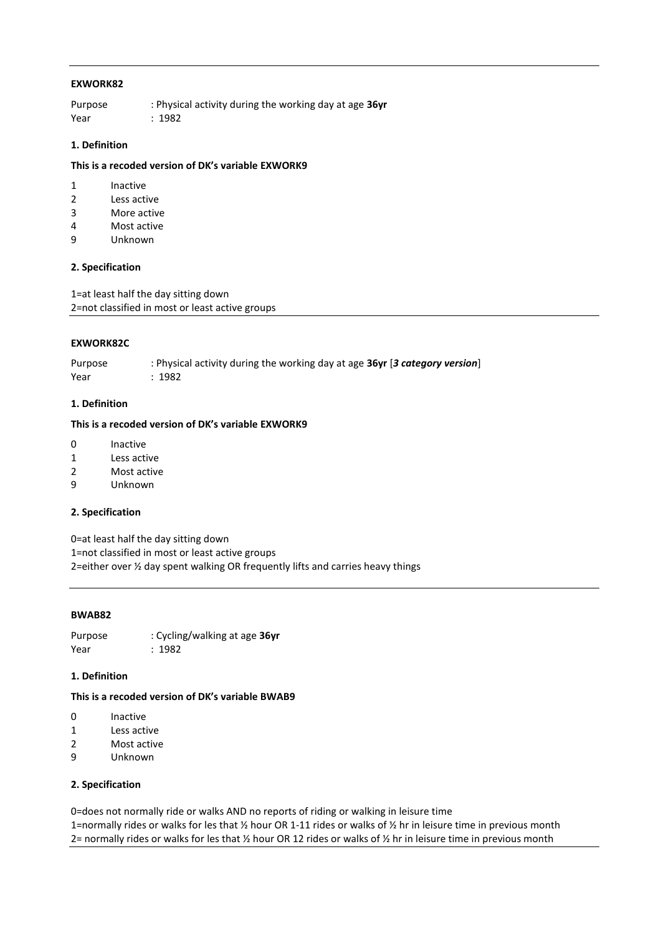### **EXWORK82**

Purpose : Physical activity during the working day at age **36yr**  Year : 1982

## **1. Definition**

#### **This is a recoded version of DK's variable EXWORK9**

- 1 Inactive
- 2 Less active
- 3 More active
- 4 Most active
- 9 Unknown

### **2. Specification**

1=at least half the day sitting down 2=not classified in most or least active groups

#### **EXWORK82C**

Purpose : Physical activity during the working day at age **36yr** [*3 category version*] Year : 1982

#### **1. Definition**

#### **This is a recoded version of DK's variable EXWORK9**

- 0 Inactive
- 1 Less active
- 2 Most active
- 9 Unknown

#### **2. Specification**

0=at least half the day sitting down 1=not classified in most or least active groups

2=either over ½ day spent walking OR frequently lifts and carries heavy things

# **BWAB82**

Purpose : Cycling/walking at age **36yr** Year : 1982

### **1. Definition**

# **This is a recoded version of DK's variable BWAB9**

- 0 Inactive
- 1 Less active
- 2 Most active
- 9 Unknown

# **2. Specification**

0=does not normally ride or walks AND no reports of riding or walking in leisure time 1=normally rides or walks for les that ½ hour OR 1-11 rides or walks of ½ hr in leisure time in previous month 2= normally rides or walks for les that ½ hour OR 12 rides or walks of ½ hr in leisure time in previous month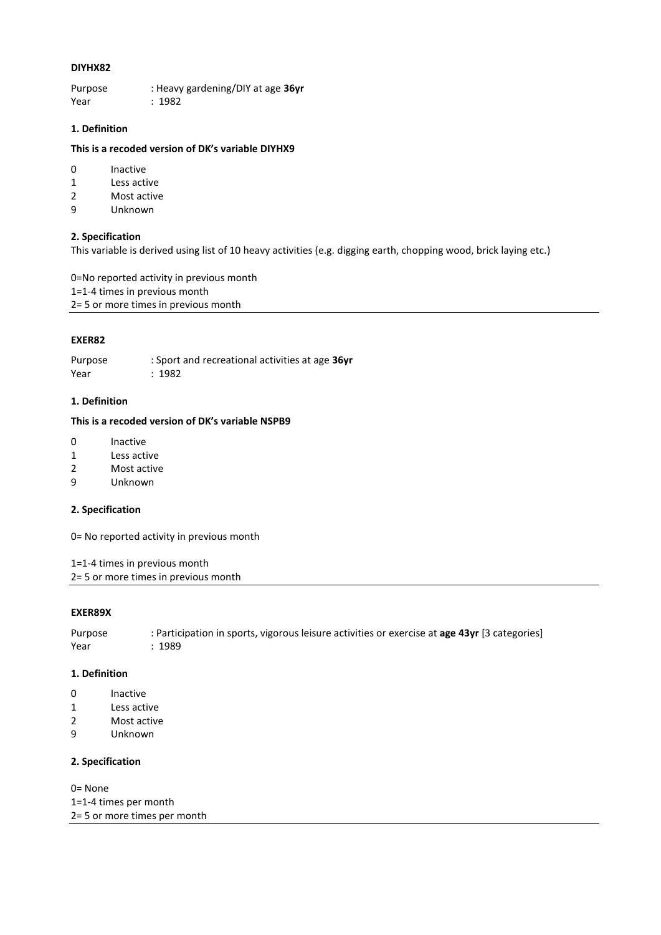#### **DIYHX82**

Purpose : Heavy gardening/DIY at age **36yr** Year : 1982

# **1. Definition**

#### **This is a recoded version of DK's variable DIYHX9**

- 0 Inactive
- 1 Less active
- 2 Most active
- 9 Unknown

## **2. Specification**

This variable is derived using list of 10 heavy activities (e.g. digging earth, chopping wood, brick laying etc.)

0=No reported activity in previous month 1=1-4 times in previous month 2= 5 or more times in previous month

#### **EXER82**

Purpose : Sport and recreational activities at age **36yr** Year : 1982

#### **1. Definition**

#### **This is a recoded version of DK's variable NSPB9**

- 0 Inactive
- 1 Less active
- 2 Most active
- 9 Unknown

#### **2. Specification**

0= No reported activity in previous month

1=1-4 times in previous month

2= 5 or more times in previous month

#### **EXER89X**

Purpose : Participation in sports, vigorous leisure activities or exercise at **age 43yr** [3 categories] Year : 1989

#### **1. Definition**

- 0 Inactive
- 1 Less active
- 2 Most active
- 9 Unknown

## **2. Specification**

0= None 1=1-4 times per month 2= 5 or more times per month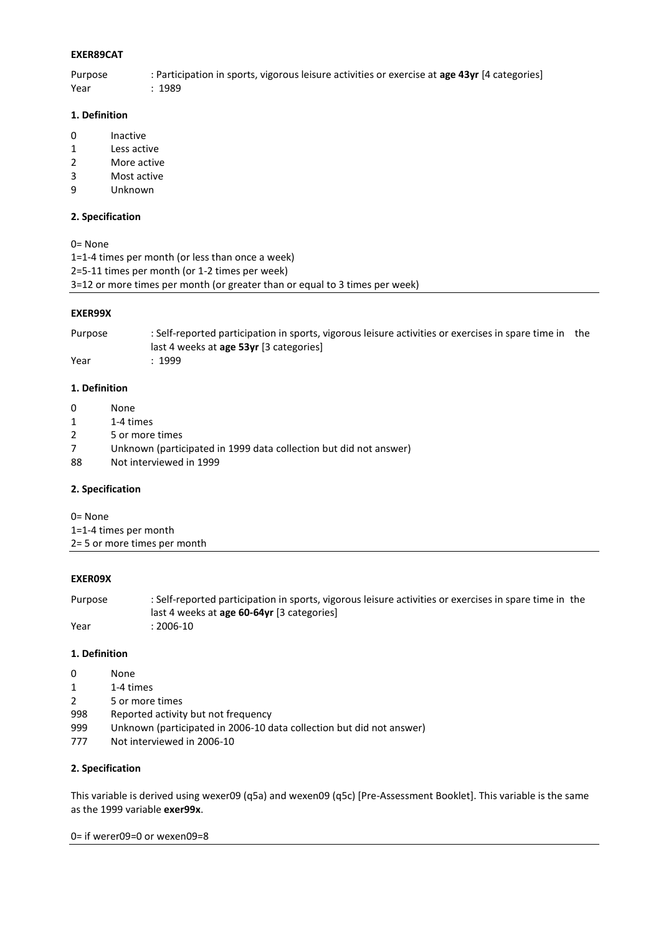## **EXER89CAT**

Purpose : Participation in sports, vigorous leisure activities or exercise at **age 43yr** [4 categories]

Year : 1989

## **1. Definition**

- 0 Inactive
- 1 Less active
- 2 More active
- 3 Most active
- 9 Unknown

## **2. Specification**

0= None

1=1-4 times per month (or less than once a week)

2=5-11 times per month (or 1-2 times per week)

3=12 or more times per month (or greater than or equal to 3 times per week)

### **EXER99X**

Purpose : Self-reported participation in sports, vigorous leisure activities or exercises in spare time in the last 4 weeks at **age 53yr** [3 categories] Year : 1999

## **1. Definition**

- 0 None
- 1 1-4 times
- 2 5 or more times
- 7 Unknown (participated in 1999 data collection but did not answer)
- 88 Not interviewed in 1999

## **2. Specification**

0= None 1=1-4 times per month

|  |  | 2= 5 or more times per month |  |  |
|--|--|------------------------------|--|--|

## **EXER09X**

Purpose : Self-reported participation in sports, vigorous leisure activities or exercises in spare time in the last 4 weeks at **age 60-64yr** [3 categories] Year : 2006-10

## **1. Definition**

- 0 None
- 1 1-4 times
- 2 5 or more times
- 998 Reported activity but not frequency
- 999 Unknown (participated in 2006-10 data collection but did not answer)
- 777 Not interviewed in 2006-10

## **2. Specification**

This variable is derived using wexer09 (q5a) and wexen09 (q5c) [Pre-Assessment Booklet]. This variable is the same as the 1999 variable **exer99x**.

0= if werer09=0 or wexen09=8